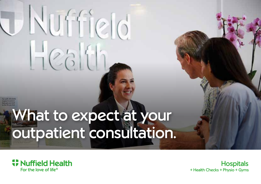## What to expect at your outpatient consultation.

Nuffield

 $Hes$ 



**Hospitals** + Health Checks + Physio + Gyms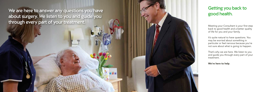We are here to answer any questions you have about surgery. We listen to you and guide you through every part of your treatment.

### Getting you back to good health.

Meeting your Consultant is your first step back to good health and a better quality of life for you and your family.

It's quite natural to have questions. You may be worried about something in particular or feel nervous because you're not sure about what is going to happen.

That's why we are here. We listen to you and guide you through every part of your treatment.

We're here to help .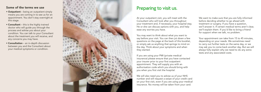#### Some of the terms we use

- Outpatient being an outpatient simply means you are coming in to see us for an appointment. You don't stay overnight at this stage.
- Consultant this is the highly trained doctor who will guide you through the process and advise you about your condition. You can talk to your Consultant about the treatment you will receive, and any concerns you may have.
- Consultation an in-depth discussion between you and the Consultant about your medical symptoms or condition.



### Preparing to visit us.

At your outpatient visit, you will meet with the Consultant who will look after you throughout your treatment and, if necessary, your hospital stay. He or she can discuss options with you, and help ease any worries you have.

You may want to think about what you want to say before your visit. You can then jot down a few questions on the page at the back of this booklet, or simply ask us anything that springs to mind on the day. Think about your symptoms and when they started.

If you are using your PMI (private medical insurance) please ensure that you have contacted your insurer prior to your first outpatient appointment. They will supply you with an authorisation code which you should bring with you when you first visit the hospital.

We will also need you to advise us of your NHS number and will request a swipe of your credit card on your first visit, even if you are using your medical insurance. No money will be taken from your card.

We want to make sure that you are fully informed before deciding whether to go ahead with treatment or surgery. If you have a question, we'll answer it. If certain medical terms aren't clear, we'll explain them. If you'd like to bring a friend for support when we talk, no problem.

Your appointment can take from 15 to 45 minutes, depending on your needs. We sometimes need to carry out further tests on the same day, or we may ask you to come back another day. But we will always fully explain why we need to do any extra tests and any associated costs.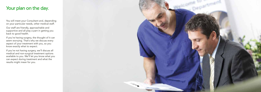#### Your plan on the day.

You will meet your Consultant and, depending on your particular needs, other medical staff.

Our staff are friendly, approachable and supportive and all play a part in getting you back to good health.

If you're having surgery, the thought of it can seem worrying. That's why we discuss every aspect of your treatment with you, so you know exactly what to expect.

If you're not having surgery, we'll discuss all medical and non-surgical treatment options available to you. We'll let you know what you can expect during treatment and what the results might mean for you.

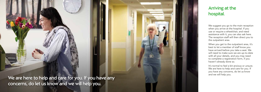We are here to help and care for you. If you have any  $^\prime$ concerns, do let us know and we will help you.

#### Arriving at the hospital.

We suggest you go to the main reception when you arrive at the hospital. If you use or require a wheelchair, and need assistance with it, you can also ask here. The reception staff will then direct you to the outpatient area.

When you get to the outpatient area, it's best to let a member of staff know you have arrived before you take a seat. We will need to make sure we are up-to-date with all your details, and you may need to complete a registration form, if you haven't already done so.

It's normal to feel a bit anxious or unsure. We are here to help and care for you. If you have any concerns, do let us know and we will help you.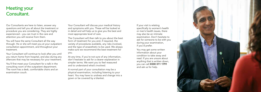### Meeting your Consultant.

Our Consultants are here to listen, answer any questions and tell you all about the treatment or procedure you are considering. They are highly experienced – you can trust in the care and attention you will receive from them.

You will have the same Consultant all the way through. He or she will meet you at your outpatient consultation appointment, and throughout your treatment.

Your Consultant will continue to look after you until you return home from hospital, and also during any aftercare that may be necessary for your treatment.

You'll first meet your Consultant for a talk in the consulting room of the outpatient department. The room has a desk, comfortable chairs and an examination couch.

Your Consultant will discuss your medical history and symptoms with you. These will be looked at in detail and will help us to give you the best and most appropriate level of care.

The Consultant will then talk to you about the best form of treatment for you and, if required, the variety of procedures available, any risks involved, and the type of anaesthetic to be used. We always make sure we recommend the best treatment for you.

At any time, if you're not sure of any information, don't hesitate to ask for a clearer explanation in simpler terms. We want you to feel reassured and to understand what's involved.

A normal part of your consultation may be a physical examination, including listening to your heart. You may have to undress and change into a gown or be covered by a blanket.

If your visit is relating specifically to women's health or men's health issues, there may also be an intimate examination. Don't hesitate to ask for someone to be with you during your examination, if you'd prefer.

You may get some written information about your condition to take away and read. If you are unsure about anything that is written down, you can call 0330 311 1791 and ask us for help.

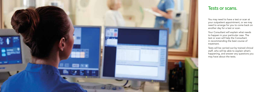

#### Tests or scans.

You may need to have a test or scan at your outpatient appointment, or we may need to arrange for you to come back on another day for a test or scan.

Your Consultant will explain what needs to happen in your particular case. The test or scan will help the Consultant in recommending the best course of treatment.

Tests will be carried out by trained clinical staff, who will be able to explain what's happening, and answer any questions you may have about the tests.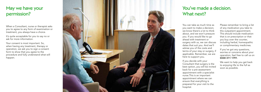### May we have your permission?

When a Consultant, nurse or therapist asks you to agree to any form of examination or treatment, you always have a choice.

It's quite acceptable for you to say no or ask for more information.

Your consent is most important. So, when having any treatment, therapy or operation, we ask you to sign a consent form to show that you agree to the procedure and fully understand what will happen.



You can take as much time as you want to make a decision; we know there's a lot to think about, and we won't pressure you. If you would like to go surgery with us, we can discuss dates that suit you. And we'll advise you of the costs and terms of your stay or surgery, if applicable. Remember, we are

ahead with treatment or here to support you.

If you decide with your back for a pre-assessment nurse.This is an important ensure that everything is hospital.

Consultant that surgery is the best option, you will be invited appointment with a specialist appointment where we can prepared for your visit to the

Please remember to bring a list of any medication you take to this outpatient appointment. This should include medication that is on prescription or that you buy over the counter, including herbal, homeopathic or complimentary medicines.

If you've got any questions, worries or concerns about your operation, feel free to call us on 0330 311 1791 .

We want to help you get back to enjoying life to the full as soon as possible.

# You've made a decision.

What next?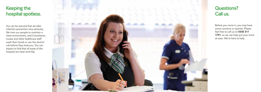### Keeping the hospital spotless.

You can be assured that we take infection prevention very seriously. We train our people to maintain a clean environment, and Consultants, nurses and other healthcare staff wash their hands or use the alcohol rub before they treat you. You can expect to find that all areas of the hospital are clean and tidy.



Before you come in, you may have some concerns or queries. Please feel free to call us on 0330 311 1791, so we can help put your mind at ease. We're here to help.

### Questions? Call us.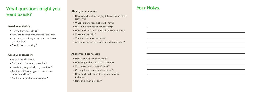### What questions might you want to ask?

#### About your lifestyle:

- How will my life change?
- What are the benefits and will they last?
- Do I need to tell my work that I am having an operation?
- Should I stop smoking?

#### About your condition:

- What is my diagnosis?
- Do I need to have an operation?
- How is it going to help my condition?
- Are there different types of treatment for my condition?
- Are they surgical or non-surgical?

#### About your operation:

- How long does the surgery take and what does it involve?
- What sort of anaesthetic will I have?
- Will I have stitches or any scarring?
- How much pain will I have after my operation?
- What are the risks?
- What are the success rates?
- Are there any other issues I need to consider?

#### About your hospital visit:

- How long will I be in hospital?
- How long will it take me to recover?
- Will I need much time off work?
- Can my friends and family visit me?
- How much will I need to pay and what is included?
- How and when do I pay?

#### Your Notes.